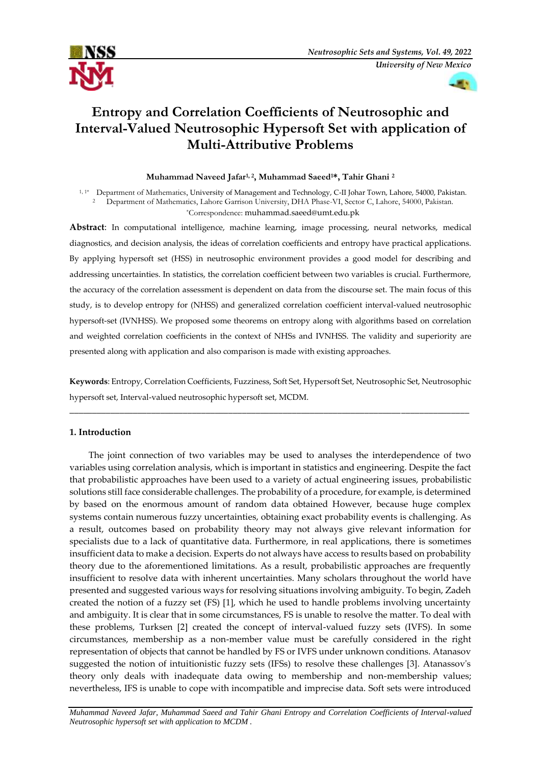



# **Entropy and Correlation Coefficients of Neutrosophic and Interval-Valued Neutrosophic Hypersoft Set with application of Multi-Attributive Problems**

# **Muhammad Naveed Jafar1, 2 , Muhammad Saeed1\*, Tahir Ghani <sup>2</sup>**

1, 1\* Department of Mathematics, University of Management and Technology, C-II Johar Town, Lahore, 54000, Pakistan. <sup>2</sup> Department of Mathematics, Lahore Garrison University, DHA Phase-VI, Sector C, Lahore, 54000, Pakistan. \*Correspondence: [muhammad.saeed@umt.edu.pk](mailto:muhammad.saeed@umt.edu.pk)

**Abstract**: In computational intelligence, machine learning, image processing, neural networks, medical diagnostics, and decision analysis, the ideas of correlation coefficients and entropy have practical applications. By applying hypersoft set (HSS) in neutrosophic environment provides a good model for describing and addressing uncertainties. In statistics, the correlation coefficient between two variables is crucial. Furthermore, the accuracy of the correlation assessment is dependent on data from the discourse set. The main focus of this study, is to develop entropy for (NHSS) and generalized correlation coefficient interval-valued neutrosophic hypersoft-set (IVNHSS). We proposed some theorems on entropy along with algorithms based on correlation and weighted correlation coefficients in the context of NHSs and IVNHSS. The validity and superiority are presented along with application and also comparison is made with existing approaches.

**Keywords**: Entropy, Correlation Coefficients, Fuzziness, Soft Set, Hypersoft Set, Neutrosophic Set, Neutrosophic hypersoft set, Interval-valued neutrosophic hypersoft set, MCDM.

\_\_\_\_\_\_\_\_\_\_\_\_\_\_\_\_\_\_\_\_\_\_\_\_\_\_\_\_\_\_\_\_\_\_\_\_\_\_\_\_\_\_\_\_\_\_\_\_\_\_\_\_\_\_\_\_\_\_\_\_\_\_\_\_\_\_\_\_\_\_\_\_\_\_\_\_\_\_\_\_\_\_\_\_\_\_\_\_

## **1. Introduction**

The joint connection of two variables may be used to analyses the interdependence of two variables using correlation analysis, which is important in statistics and engineering. Despite the fact that probabilistic approaches have been used to a variety of actual engineering issues, probabilistic solutions still face considerable challenges. The probability of a procedure, for example, is determined by based on the enormous amount of random data obtained However, because huge complex systems contain numerous fuzzy uncertainties, obtaining exact probability events is challenging. As a result, outcomes based on probability theory may not always give relevant information for specialists due to a lack of quantitative data. Furthermore, in real applications, there is sometimes insufficient data to make a decision. Experts do not always have access to results based on probability theory due to the aforementioned limitations. As a result, probabilistic approaches are frequently insufficient to resolve data with inherent uncertainties. Many scholars throughout the world have presented and suggested various ways for resolving situations involving ambiguity. To begin, Zadeh created the notion of a fuzzy set (FS) [1], which he used to handle problems involving uncertainty and ambiguity. It is clear that in some circumstances, FS is unable to resolve the matter. To deal with these problems, Turksen [2] created the concept of interval-valued fuzzy sets (IVFS). In some circumstances, membership as a non-member value must be carefully considered in the right representation of objects that cannot be handled by FS or IVFS under unknown conditions. Atanasov suggested the notion of intuitionistic fuzzy sets (IFSs) to resolve these challenges [3]. Atanassov's theory only deals with inadequate data owing to membership and non-membership values; nevertheless, IFS is unable to cope with incompatible and imprecise data. Soft sets were introduced

*Muhammad Naveed Jafar, Muhammad Saeed and Tahir Ghani Entropy and Correlation Coefficients of Interval-valued Neutrosophic hypersoft set with application to MCDM .*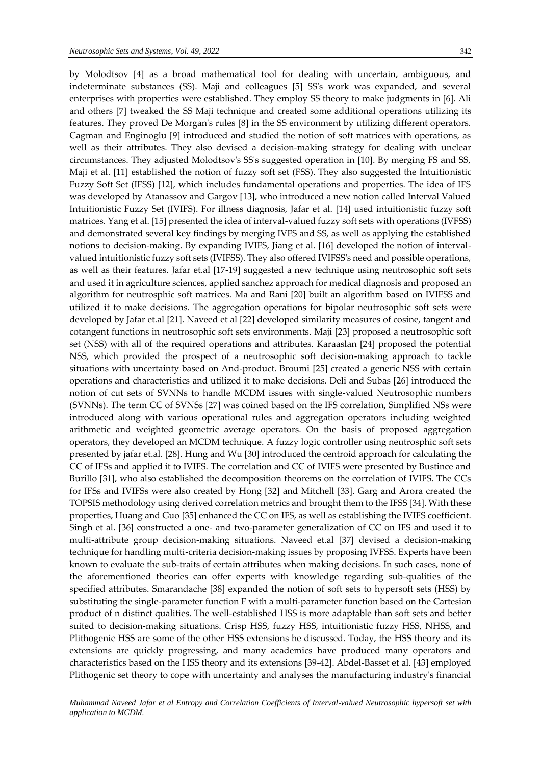by Molodtsov [4] as a broad mathematical tool for dealing with uncertain, ambiguous, and indeterminate substances (SS). Maji and colleagues [5] SS's work was expanded, and several enterprises with properties were established. They employ SS theory to make judgments in [6]. Ali and others [7] tweaked the SS Maji technique and created some additional operations utilizing its features. They proved De Morgan's rules [8] in the SS environment by utilizing different operators. Cagman and Enginoglu [9] introduced and studied the notion of soft matrices with operations, as well as their attributes. They also devised a decision-making strategy for dealing with unclear circumstances. They adjusted Molodtsov's SS's suggested operation in [10]. By merging FS and SS, Maji et al. [11] established the notion of fuzzy soft set (FSS). They also suggested the Intuitionistic Fuzzy Soft Set (IFSS) [12], which includes fundamental operations and properties. The idea of IFS was developed by Atanassov and Gargov [13], who introduced a new notion called Interval Valued Intuitionistic Fuzzy Set (IVIFS). For illness diagnosis, Jafar et al. [14] used intuitionistic fuzzy soft matrices. Yang et al. [15] presented the idea of interval-valued fuzzy soft sets with operations (IVFSS) and demonstrated several key findings by merging IVFS and SS, as well as applying the established notions to decision-making. By expanding IVIFS, Jiang et al. [16] developed the notion of intervalvalued intuitionistic fuzzy soft sets (IVIFSS). They also offered IVIFSS's need and possible operations, as well as their features. Jafar et.al [17-19] suggested a new technique using neutrosophic soft sets and used it in agriculture sciences, applied sanchez approach for medical diagnosis and proposed an algorithm for neutrosphic soft matrices. Ma and Rani [20] built an algorithm based on IVIFSS and utilized it to make decisions. The aggregation operations for bipolar neutrosophic soft sets were developed by Jafar et.al [21]. Naveed et al [22] developed similarity measures of cosine, tangent and cotangent functions in neutrosophic soft sets environments. Maji [23] proposed a neutrosophic soft set (NSS) with all of the required operations and attributes. Karaaslan [24] proposed the potential NSS, which provided the prospect of a neutrosophic soft decision-making approach to tackle situations with uncertainty based on And-product. Broumi [25] created a generic NSS with certain operations and characteristics and utilized it to make decisions. Deli and Subas [26] introduced the notion of cut sets of SVNNs to handle MCDM issues with single-valued Neutrosophic numbers (SVNNs). The term CC of SVNSs [27] was coined based on the IFS correlation, Simplified NSs were introduced along with various operational rules and aggregation operators including weighted arithmetic and weighted geometric average operators. On the basis of proposed aggregation operators, they developed an MCDM technique. A fuzzy logic controller using neutrosphic soft sets presented by jafar et.al. [28]. Hung and Wu [30] introduced the centroid approach for calculating the CC of IFSs and applied it to IVIFS. The correlation and CC of IVIFS were presented by Bustince and Burillo [31], who also established the decomposition theorems on the correlation of IVIFS. The CCs for IFSs and IVIFSs were also created by Hong [32] and Mitchell [33]. Garg and Arora created the TOPSIS methodology using derived correlation metrics and brought them to the IFSS [34]. With these properties, Huang and Guo [35] enhanced the CC on IFS, as well as establishing the IVIFS coefficient. Singh et al. [36] constructed a one- and two-parameter generalization of CC on IFS and used it to multi-attribute group decision-making situations. Naveed et.al [37] devised a decision-making technique for handling multi-criteria decision-making issues by proposing IVFSS. Experts have been known to evaluate the sub-traits of certain attributes when making decisions. In such cases, none of the aforementioned theories can offer experts with knowledge regarding sub-qualities of the specified attributes. Smarandache [38] expanded the notion of soft sets to hypersoft sets (HSS) by substituting the single-parameter function F with a multi-parameter function based on the Cartesian product of n distinct qualities. The well-established HSS is more adaptable than soft sets and better suited to decision-making situations. Crisp HSS, fuzzy HSS, intuitionistic fuzzy HSS, NHSS, and Plithogenic HSS are some of the other HSS extensions he discussed. Today, the HSS theory and its extensions are quickly progressing, and many academics have produced many operators and characteristics based on the HSS theory and its extensions [39-42]. Abdel-Basset et al. [43] employed Plithogenic set theory to cope with uncertainty and analyses the manufacturing industry's financial

*Muhammad Naveed Jafar et al Entropy and Correlation Coefficients of Interval-valued Neutrosophic hypersoft set with application to MCDM.*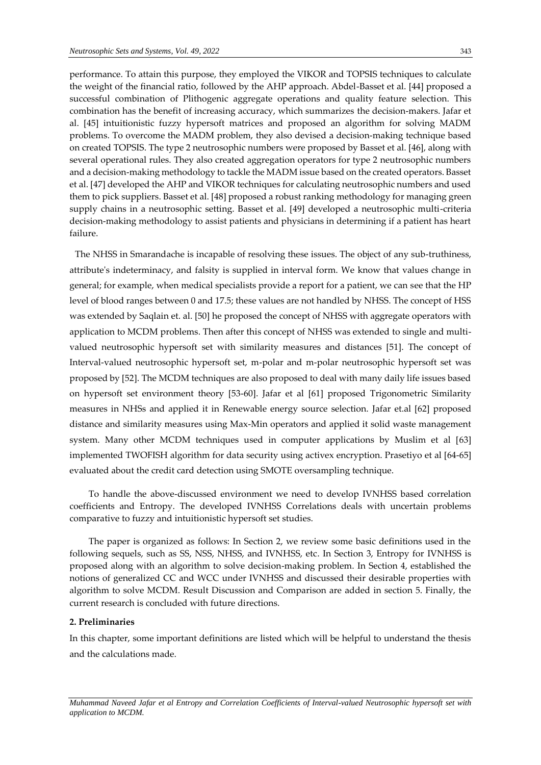performance. To attain this purpose, they employed the VIKOR and TOPSIS techniques to calculate the weight of the financial ratio, followed by the AHP approach. Abdel-Basset et al. [44] proposed a successful combination of Plithogenic aggregate operations and quality feature selection. This combination has the benefit of increasing accuracy, which summarizes the decision-makers. Jafar et al. [45] intuitionistic fuzzy hypersoft matrices and proposed an algorithm for solving MADM problems. To overcome the MADM problem, they also devised a decision-making technique based on created TOPSIS. The type 2 neutrosophic numbers were proposed by Basset et al. [46], along with several operational rules. They also created aggregation operators for type 2 neutrosophic numbers and a decision-making methodology to tackle the MADM issue based on the created operators. Basset et al. [47] developed the AHP and VIKOR techniques for calculating neutrosophic numbers and used them to pick suppliers. Basset et al. [48] proposed a robust ranking methodology for managing green supply chains in a neutrosophic setting. Basset et al. [49] developed a neutrosophic multi-criteria decision-making methodology to assist patients and physicians in determining if a patient has heart failure.

**"**The NHSS in Smarandache is incapable of resolving these issues. The object of any sub-truthiness, attribute's indeterminacy, and falsity is supplied in interval form. We know that values change in general; for example, when medical specialists provide a report for a patient, we can see that the HP level of blood ranges between 0 and 17.5; these values are not handled by NHSS. The concept of HSS was extended by Saqlain et. al. [50] he proposed the concept of NHSS with aggregate operators with application to MCDM problems. Then after this concept of NHSS was extended to single and multivalued neutrosophic hypersoft set with similarity measures and distances [51]. The concept of Interval-valued neutrosophic hypersoft set, m-polar and m-polar neutrosophic hypersoft set was proposed by [52]. The MCDM techniques are also proposed to deal with many daily life issues based on hypersoft set environment theory [53-60]. Jafar et al [61] proposed Trigonometric Similarity measures in NHSs and applied it in Renewable energy source selection. Jafar et.al [62] proposed distance and similarity measures using Max-Min operators and applied it solid waste management system. Many other MCDM techniques used in computer applications by Muslim et al [63] implemented TWOFISH algorithm for data security using activex encryption. Prasetiyo et al [64-65] evaluated about the credit card detection using SMOTE oversampling technique.

To handle the above-discussed environment we need to develop IVNHSS based correlation coefficients and Entropy. The developed IVNHSS Correlations deals with uncertain problems comparative to fuzzy and intuitionistic hypersoft set studies.

The paper is organized as follows: In Section 2, we review some basic definitions used in the following sequels, such as SS, NSS, NHSS, and IVNHSS, etc. In Section 3, Entropy for IVNHSS is proposed along with an algorithm to solve decision-making problem. In Section 4, established the notions of generalized CC and WCC under IVNHSS and discussed their desirable properties with algorithm to solve MCDM. Result Discussion and Comparison are added in section 5. Finally, the current research is concluded with future directions.

## **2. Preliminaries**

*application to MCDM.*

In this chapter, some important definitions are listed which will be helpful to understand the thesis and the calculations made.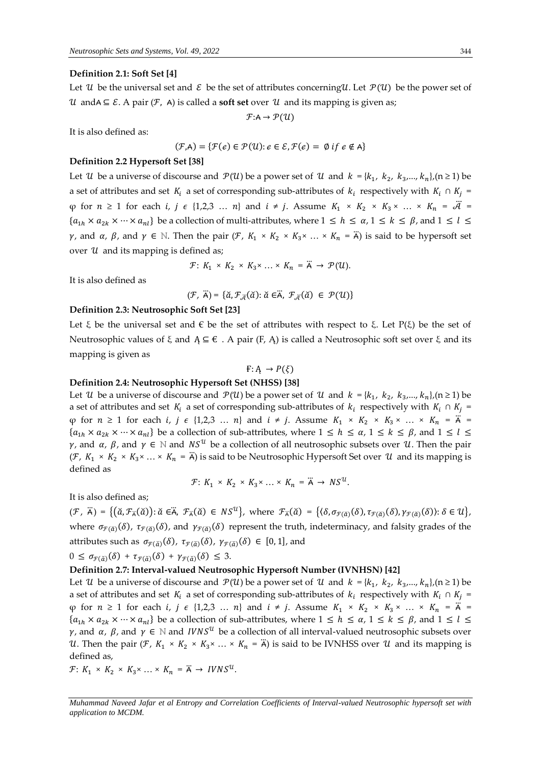#### **Definition 2.1: Soft Set [4]**

Let U be the universal set and  $\mathcal E$  be the set of attributes concerning U. Let  $\mathcal P(U)$  be the power set of  $\mathcal{U}$  andA  $\subseteq$  *E*. A pair (*F*, A) is called a **soft set** over  $\mathcal{U}$  and its mapping is given as;

 $F: A \rightarrow \mathcal{P}(U)$ 

It is also defined as:

$$
(\mathcal{F}, A) = \{ \mathcal{F}(e) \in \mathcal{P}(\mathcal{U}) : e \in \mathcal{E}, \mathcal{F}(e) = \emptyset \text{ if } e \notin A \}
$$

#### **Definition 2.2 Hypersoft Set [38]**

Let U be a universe of discourse and  $\mathcal{P}(U)$  be a power set of U and  $k = \{k_1, k_2, k_3, ..., k_n\}$ , (n  $\geq 1$ ) be a set of attributes and set  $K_i$  a set of corresponding sub-attributes of  $k_i$  respectively with  $K_i \cap K_j =$  $\varphi$  for  $n \ge 1$  for each *i*,  $j \in \{1,2,3 \ldots n\}$  and  $i \ne j$ . Assume  $K_1 \times K_2 \times K_3 \times \ldots \times K_n = \tilde{\mathcal{A}}$  ${a_{1h} \times a_{2k} \times \cdots \times a_{nl}}$  be a collection of multi-attributes, where  $1 \le h \le \alpha, 1 \le k \le \beta$ , and  $1 \le l \le \beta$  $\gamma$ , and  $\alpha$ ,  $\beta$ , and  $\gamma \in \mathbb{N}$ . Then the pair  $(\mathcal{F}, K_1 \times K_2 \times K_3 \times \ldots \times K_n = \ddot{A})$  is said to be hypersoft set over  $u$  and its mapping is defined as;

$$
\mathcal{F}: K_1 \times K_2 \times K_3 \times \ldots \times K_n = \ddot{A} \to \mathcal{P}(\mathcal{U}).
$$

It is also defined as

$$
(\mathcal{F},\ \ddot{\mathsf{A}})=\{\breve{a},\mathcal{F}_{\ddot{\mathcal{A}}}(\breve{a})\colon \breve{a}\in\breve{\mathsf{A}},\ \mathcal{F}_{\ddot{\mathcal{A}}}(\breve{a})\ \in\ \mathcal{P}(\mathcal{U})\}
$$

### **Definition 2.3: Neutrosophic Soft Set [23]**

Let  $\xi$  be the universal set and  $\xi$  be the set of attributes with respect to  $\xi$ . Let P( $\xi$ ) be the set of Neutrosophic values of  $\xi$  and  $A \subseteq \xi$ . A pair (F, A) is called a Neutrosophic soft set over  $\xi$  and its mapping is given as

#### $F: A \rightarrow P(\xi)$

## **Definition 2.4: Neutrosophic Hypersoft Set (NHSS) [38]**

Let U be a universe of discourse and  $\mathcal{P}(U)$  be a power set of U and  $k = \{k_1, k_2, k_3, ..., k_n\}$ , (n  $\geq 1$ ) be a set of attributes and set  $K_i$  a set of corresponding sub-attributes of  $k_i$  respectively with  $K_i \cap K_j =$  $\varphi$  for  $n \ge 1$  for each *i*,  $j \in \{1,2,3 \ldots n\}$  and  $i \ne j$ . Assume  $K_1 \times K_2 \times K_3 \times \ldots \times K_n = \ddot{A}$  ${a_{1h} \times a_{2k} \times \cdots \times a_{nl}}$  be a collection of sub-attributes, where  $1 \le h \le \alpha, 1 \le k \le \beta$ , and  $1 \le l \le \beta$  $\gamma$ , and α, β, and  $\gamma \in \mathbb{N}$  and  $NS^{\mathcal{U}}$  be a collection of all neutrosophic subsets over  $\mathcal{U}$ . Then the pair  $(\mathcal{F}, K_1 \times K_2 \times K_3 \times ... \times K_n = \ddot{A})$  is said to be Neutrosophic Hypersoft Set over  $\mathcal{U}$  and its mapping is defined as

$$
\mathcal{F}: K_1 \times K_2 \times K_3 \times \ldots \times K_n = \ddot{A} \to NS^{\mathcal{U}}.
$$

It is also defined as;

 $(\mathcal{F}, \ddot{\mathsf{A}}) = \{(\check{\alpha}, \mathcal{F}_{\ddot{\mathsf{A}}}(\check{\alpha})): \check{\alpha} \in \ddot{\mathsf{A}}, \ \mathcal{F}_{\ddot{\mathsf{A}}}(\check{\alpha}) \in NS^{\mathcal{U}}\},\ \text{where}\ \mathcal{F}_{\ddot{\mathsf{A}}}(\check{\alpha}) = \{(\delta, \sigma_{\mathcal{F}(\check{\alpha})}(\delta), \tau_{\mathcal{F}(\check{\alpha})}(\delta)), \gamma_{\mathcal{F}(\check{\alpha})}(\delta)\}: \delta \in \mathcal{U}\},\$ where  $\sigma_{\bar{r}(\tilde{a})}(\delta)$ ,  $\tau_{\bar{r}(\tilde{a})}(\delta)$ , and  $\gamma_{\bar{r}(\tilde{a})}(\delta)$  represent the truth, indeterminacy, and falsity grades of the attributes such as  $\sigma_{\vec{r}(\vec{a})}(\delta)$ ,  $\tau_{\vec{r}(\vec{a})}(\delta)$ ,  $\gamma_{\vec{r}(\vec{a})}(\delta) \in [0,1]$ , and

 $0 \leq \sigma_{\mathcal{F}(\check{\alpha})}(\delta) + \tau_{\mathcal{F}(\check{\alpha})}(\delta) + \gamma_{\mathcal{F}(\check{\alpha})}(\delta) \leq 3.$ 

### **Definition 2.7: Interval-valued Neutrosophic Hypersoft Number (IVNHSN) [42]**

Let U be a universe of discourse and  $\mathcal{P}(U)$  be a power set of U and  $k = \{k_1, k_2, k_3, ..., k_n\}$ , (n  $\geq 1$ ) be a set of attributes and set  $K_i$  a set of corresponding sub-attributes of  $k_i$  respectively with  $K_i \cap K_j =$  $\varphi$  for  $n \ge 1$  for each *i*,  $j \in \{1,2,3 \ldots n\}$  and  $i \ne j$ . Assume  $K_1 \times K_2 \times K_3 \times \ldots \times K_n = \ddot{A}$  ${a_{1h} \times a_{2k} \times \cdots \times a_{nl}}$  be a collection of sub-attributes, where  $1 \le h \le \alpha, 1 \le k \le \beta$ , and  $1 \le l \le \alpha$  $\gamma$ , and α, β, and  $\gamma \in \mathbb{N}$  and IVNS<sup>U</sup> be a collection of all interval-valued neutrosophic subsets over U. Then the pair (*F*,  $K_1 \times K_2 \times K_3 \times \ldots \times K_n = \ddot{A}$ ) is said to be IVNHSS over U and its mapping is defined as,

 $\mathcal{F}: K_1 \times K_2 \times K_3 \times \ldots \times K_n = \ddot{A} \rightarrow IVNS^U.$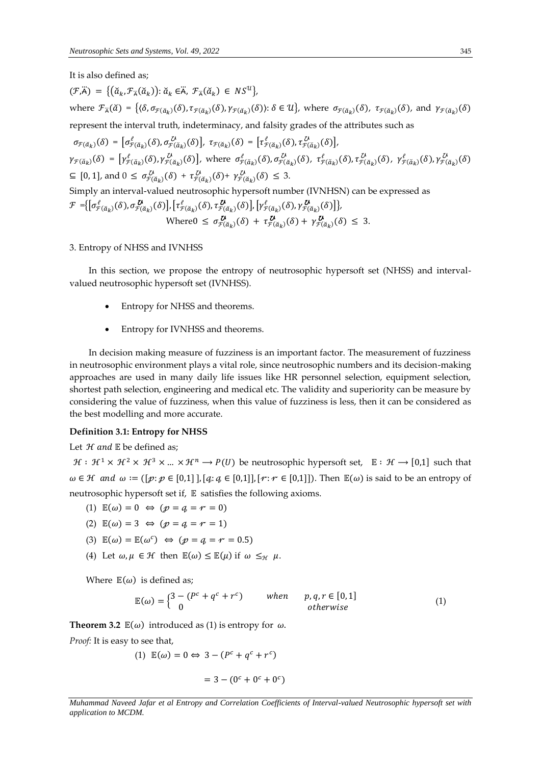It is also defined as;

 $(\mathcal{F}, \ddot{\mathsf{A}}) = \{(\check{a}_k, \mathcal{F}_{\ddot{\mathsf{A}}}(\check{a}_k)) : \check{a}_k \in \ddot{\mathsf{A}}, \ \mathcal{F}_{\ddot{\mathsf{A}}}(\check{a}_k) \in NS^{\mathcal{U}}\},\$ where  $\mathcal{F}_{\vec{\mu}}(\check{a}) = \{(\delta, \sigma_{\mathcal{F}(\check{a}_k)}(\delta), \tau_{\mathcal{F}(\check{a}_k)}(\delta)), \gamma_{\mathcal{F}(\check{a}_k)}(\delta)) : \delta \in \mathcal{U}\}\$ , where  $\sigma_{\mathcal{F}(\check{a}_k)}(\delta), \tau_{\mathcal{F}(\check{a}_k)}(\delta)$ , and  $\gamma_{\mathcal{F}(\check{a}_k)}(\delta)$ represent the interval truth, indeterminacy, and falsity grades of the attributes such as  $\sigma_{\mathcal{F}(\check{\alpha}_k)}(\delta) = \left[\sigma_{\mathcal{F}(\check{\alpha}_k)}^{\ell}(\delta), \sigma_{\mathcal{F}(\check{\alpha}_k)}^{\mathcal{U}}(\delta)\right], \tau_{\mathcal{F}(\check{\alpha}_k)}(\delta) = \left[\tau_{\mathcal{F}(\check{\alpha}_k)}^{\ell}(\delta), \tau_{\mathcal{F}(\check{\alpha}_k)}^{\mathcal{U}}(\delta)\right],$  $\gamma_{\mathcal{F}(\check{\alpha}_k)}(\delta) = \left[ \gamma_{\mathcal{F}(\check{\alpha}_k)}^{\ell}(\delta), \gamma_{\mathcal{F}(\check{\alpha}_k)}^{\ell}(\delta) \right]$ , where  $\sigma_{\mathcal{F}(\check{\alpha}_k)}^{\ell}(\delta), \sigma_{\mathcal{F}(\check{\alpha}_k)}^{\ell}(\delta)$ ,  $\tau_{\mathcal{F}(\check{\alpha}_k)}^{\ell}(\delta), \gamma_{\mathcal{F}(\check{\alpha}_k)}^{\ell}(\delta)$ ,  $\gamma_{\mathcal{F}(\check{\alpha}_k)}^{\ell}(\delta)$ ,  $\gamma_{\mathcal{F}(\check$  $\subseteq [0,1],$  and  $0 \leq \sigma_{\mathcal{F}(\breve{\alpha}_k)}^{\mathcal{U}}(\delta) + \tau_{\mathcal{F}(\breve{\alpha}_k)}^{\mathcal{U}}(\delta) + \gamma_{\mathcal{F}(\breve{\alpha}_k)}^{\mathcal{U}}(\delta) \leq 3.$ Simply an interval-valued neutrosophic hypersoft number (IVNHSN) can be expressed as  $\mathcal{F} = \big\{ \big[ \sigma_{\mathcal{F}(\check{\alpha}_k)}^{\ell}(\delta), \sigma_{\mathcal{F}(\check{\alpha}_k)}^{\ell}(\delta) \big], \big[ \tau_{\mathcal{F}(\check{\alpha}_k)}^{\ell}(\delta), \tau_{\mathcal{F}(\check{\alpha}_k)}^{\ell}(\delta) \big], \big[ \gamma_{\mathcal{F}(\check{\alpha}_k)}^{\ell}(\delta), \gamma_{\mathcal{F}(\check{\alpha}_k)}^{\ell}(\delta) \big] \big\},$ Where  $0 \leq \sigma_{\mathcal{F}(\check{\alpha}_k)}^{\mathcal{U}}(\delta) + \tau_{\mathcal{F}(\check{\alpha}_k)}^{\mathcal{U}}(\delta) + \gamma_{\mathcal{F}(\check{\alpha}_k)}^{\mathcal{U}}(\delta) \leq 3.$ 

#### 3. Entropy of NHSS and IVNHSS

In this section, we propose the entropy of neutrosophic hypersoft set (NHSS) and intervalvalued neutrosophic hypersoft set (IVNHSS).

- Entropy for NHSS and theorems.
- Entropy for IVNHSS and theorems.

In decision making measure of fuzziness is an important factor. The measurement of fuzziness in neutrosophic environment plays a vital role, since neutrosophic numbers and its decision-making approaches are used in many daily life issues like HR personnel selection, equipment selection, shortest path selection, engineering and medical etc. The validity and superiority can be measure by considering the value of fuzziness, when this value of fuzziness is less, then it can be considered as the best modelling and more accurate.

## **Definition 3.1: Entropy for NHSS**

Let  $H$  and  $E$  be defined as;

 $\mathcal{H}: \mathcal{H}^1 \times \mathcal{H}^2 \times \mathcal{H}^3 \times ... \times \mathcal{H}^n$  →  $P(U)$  be neutrosophic hypersoft set,  $\mathbb{E}: \mathcal{H} \rightarrow [0,1]$  such that  $\omega \in \mathcal{H}$  and  $\omega := ([p: p \in [0,1], [q: q \in [0,1]], [r: r \in [0,1]])$ . Then  $\mathbb{E}(\omega)$  is said to be an entropy of neutrosophic hypersoft set if,  $E$  satisfies the following axioms.

- (1)  $\mathbb{E}(\omega) = 0 \Leftrightarrow (\mathcal{p} = \mathcal{q} = r = 0)$
- (2)  $\mathbb{E}(\omega) = 3 \Leftrightarrow (\mathcal{p} = \mathcal{q} = \mathcal{r} = 1)$
- (3)  $\mathbb{E}(\omega) = \mathbb{E}(\omega^c) \iff (\mathcal{p} = \mathcal{q} = r = 0.5)$
- (4) Let  $\omega, \mu \in \mathcal{H}$  then  $\mathbb{E}(\omega) \leq \mathbb{E}(\mu)$  if  $\omega \leq_{\mathcal{H}} \mu$ .

Where  $\mathbb{E}(\omega)$  is defined as;

$$
\mathbb{E}(\omega) = \begin{cases} 3 - (P^c + q^c + r^c) & \text{when} & p, q, r \in [0, 1] \\ 0 & \text{otherwise} \end{cases}
$$
(1)

**Theorem 3.2**  $\mathbb{E}(\omega)$  introduced as (1) is entropy for  $\omega$ .

*Proof:* It is easy to see that,

(1) 
$$
\mathbb{E}(\omega) = 0 \Leftrightarrow 3 - (P^c + q^c + r^c)
$$
  
= 3 - (0<sup>c</sup> + 0<sup>c</sup> + 0<sup>c</sup>)

*Muhammad Naveed Jafar et al Entropy and Correlation Coefficients of Interval-valued Neutrosophic hypersoft set with application to MCDM.*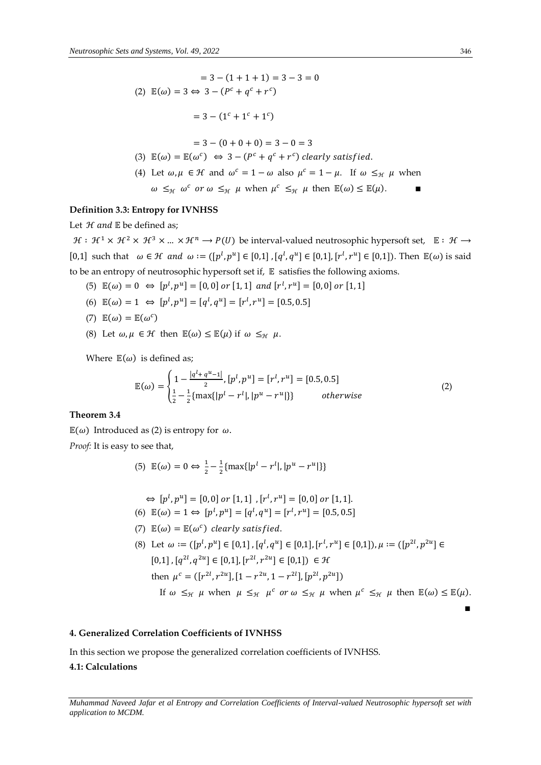$$
= 3 - (1 + 1 + 1) = 3 - 3 = 0
$$
\n
$$
(2) \mathbb{E}(\omega) = 3 \Leftrightarrow 3 - (P^c + q^c + r^c)
$$
\n
$$
= 3 - (1^c + 1^c + 1^c)
$$
\n
$$
= 3 - (0 + 0 + 0) = 3 - 0 = 3
$$
\n
$$
(3) \mathbb{E}(\omega) = \mathbb{E}(\omega^c) \Leftrightarrow 3 - (P^c + q^c + r^c) \text{ clearly satisfied.}
$$
\n
$$
(4) \text{ Let } \omega, \mu \in \mathcal{H} \text{ and } \omega^c = 1 - \omega \text{ also } \mu^c = 1 - \mu. \text{ If } \omega \leq_{\mathcal{H}} \mu \text{ when } \omega \leq_{\mathcal{H}} \omega^c \text{ or } \omega \leq_{\mathcal{H}} \mu \text{ when } \mu^c \leq_{\mathcal{H}} \mu \text{ then } \mathbb{E}(\omega) \leq \mathbb{E}(\mu).
$$

# **Definition 3.3: Entropy for IVNHSS**

Let  $H$  and  $E$  be defined as;

 $\mathcal{H}: \mathcal{H}^1 \times \mathcal{H}^2 \times \mathcal{H}^3 \times ... \times \mathcal{H}^n \longrightarrow P(U)$  be interval-valued neutrosophic hypersoft set,  $\mathbb{E}: \mathcal{H} \longrightarrow$ [0,1] such that  $\omega \in \mathcal{H}$  and  $\omega := ([p^l, p^u] \in [0,1]$ ,  $[q^l, q^u] \in [0,1]$ ,  $[r^l, r^u] \in [0,1]$ ). Then  $\mathbb{E}(\omega)$  is said to be an entropy of neutrosophic hypersoft set if,  $E$  satisfies the following axioms.

- (5)  $\mathbb{E}(\omega) = 0 \Leftrightarrow [p^l, p^u] = [0, 0] \text{ or } [1, 1] \text{ and } [r^l, r^u] = [0, 0] \text{ or } [1, 1]$
- (6)  $\mathbb{E}(\omega) = 1 \Leftrightarrow [p^l, p^u] = [q^l, q^u] = [r^l, r^u] = [0.5, 0.5]$
- (7)  $\mathbb{E}(\omega) = \mathbb{E}(\omega^c)$
- (8) Let  $\omega, \mu \in \mathcal{H}$  then  $\mathbb{E}(\omega) \leq \mathbb{E}(\mu)$  if  $\omega \leq_{\mathcal{H}} \mu$ .

Where  $\mathbb{E}(\omega)$  is defined as;

$$
\mathbb{E}(\omega) = \begin{cases} 1 - \frac{|q^l + q^{u-1}|}{2}, [p^l, p^u] = [r^l, r^u] = [0.5, 0.5] \\ \frac{1}{2} - \frac{1}{2} \{ \max\{|p^l - r^l|, |p^u - r^u|\} \} & \text{otherwise} \end{cases}
$$
(2)

# **Theorem 3.4**

 $\mathbb{E}(\omega)$  Introduced as (2) is entropy for  $\omega$ .

*Proof:* It is easy to see that,

(5) 
$$
\mathbb{E}(\omega) = 0 \Leftrightarrow \frac{1}{2} - \frac{1}{2} \{ \max\{|p^l - r^l|, |p^u - r^u|\} \}
$$

$$
\Leftrightarrow [p^l, p^u] = [0, 0] \text{ or } [1, 1] \text{ , } [r^l, r^u] = [0, 0] \text{ or } [1, 1].
$$

(6) 
$$
\mathbb{E}(\omega) = 1 \Leftrightarrow [p^l, p^u] = [q^l, q^u] = [r^l, r^u] = [0.5, 0.5]
$$

(7)  $\mathbb{E}(\omega) = \mathbb{E}(\omega^c)$  clearly satisfied.

(8) Let  $\omega := ([p^l, p^u] \in [0,1]$ ,  $[q^l, q^u] \in [0,1]$ ,  $[r^l, r^u] \in [0,1]$ ),  $\mu := ([p^{2l}, p^{2u}] \in [0,1]$  $[0,1]$ ,  $[q^{2l}, q^{2u}] \in [0,1]$ ,  $[r^{2l}, r^{2u}] \in [0,1]$ )  $\in \mathcal{H}$ then  $\mu^c = (\lfloor r^{2l}, r^{2u} \rfloor, [1 - r^{2u}, 1 - r^{2l}], [p^{2l}, p^{2u}] )$ If  $\omega \leq_{\mathcal{H}} \mu$  when  $\mu \leq_{\mathcal{H}} \mu^c$  or  $\omega \leq_{\mathcal{H}} \mu$  when  $\mu^c \leq_{\mathcal{H}} \mu$  then  $\mathbb{E}(\omega) \leq \mathbb{E}(\mu)$ .

∎

# **4. Generalized Correlation Coefficients of IVNHSS**

In this section we propose the generalized correlation coefficients of IVNHSS.

# **4.1: Calculations**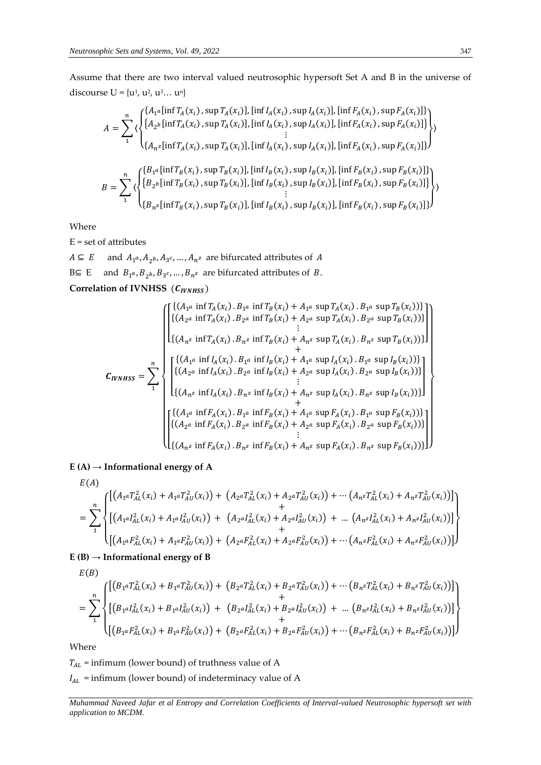Assume that there are two interval valued neutrosophic hypersoft Set A and B in the universe of discourse  $U = {u^1, u^2, u^3... u^n}$ 

$$
A = \sum_{1}^{n} \langle \begin{cases} \{A_{1}^{a}[\inf T_{A}(x_{i}), \sup T_{A}(x_{i})], [\inf I_{A}(x_{i}), \sup I_{A}(x_{i})], [\inf F_{A}(x_{i}), \sup F_{A}(x_{i})] \} \\ \{A_{2}^{b}[\inf T_{A}(x_{i}), \sup T_{A}(x_{i})], [\inf I_{A}(x_{i}), \sup I_{A}(x_{i})], [\inf F_{A}(x_{i}), \sup F_{A}(x_{i})] \} \\ \vdots \\ \{A_{n}^{z}[\inf T_{A}(x_{i}), \sup T_{A}(x_{i})], [\inf I_{A}(x_{i}), \sup I_{A}(x_{i})], [\inf F_{A}(x_{i}), \sup F_{A}(x_{i})] \} \end{cases}
$$

$$
B = \sum_{1}^{n} \langle \begin{cases} \{B_{1}^{a}[\inf T_{B}(x_{i}), \sup T_{B}(x_{i})], [\inf I_{B}(x_{i}), \sup I_{B}(x_{i})], [\inf F_{B}(x_{i}), \sup F_{B}(x_{i})] \} \\ \{B_{2}^{b}[\inf T_{B}(x_{i}), \sup T_{B}(x_{i})], [\inf I_{B}(x_{i}), \sup I_{B}(x_{i})], [\inf F_{B}(x_{i}), \sup F_{B}(x_{i})] \} \\ \vdots \\ \{B_{n}^{z}[\inf T_{B}(x_{i}), \sup T_{B}(x_{i})], [\inf I_{B}(x_{i}), \sup I_{B}(x_{i})], [\inf F_{B}(x_{i}), \sup F_{B}(x_{i})] \} \end{cases}
$$

Where

 $E = set of attributes$ 

 $A \subseteq E$  and  $A_{1^a}, A_{2^b}, A_{3^c}, ..., A_{n^z}$  are bifurcated attributes of A B⊆ E and  $B_1$ <sup>*a*</sup>,  $B_2$ *b*,  $B_3$ *c*, ...,  $B_n$ *z* are bifurcated attributes of *B*. Correlation of IVNHSS (C<sub>IVNHSS</sub>)

$$
C_{IVMBS} = \sum_{1}^{n} \begin{bmatrix} \{(A_{1}^{a} \text{ inf } T_{A}(x_{i}) \cdot B_{1}^{a} \text{ inf } T_{B}(x_{i}) + A_{1}^{a} \text{ sup } T_{A}(x_{i}) \cdot B_{1}^{a} \text{ sup } T_{B}(x_{i})) \} \\ \{(A_{2}^{a} \text{ inf } T_{A}(x_{i}) \cdot B_{2}^{a} \text{ inf } T_{B}(x_{i}) + A_{2}^{a} \text{ sup } T_{A}(x_{i}) \cdot B_{2}^{a} \text{ sup } T_{B}(x_{i})) \} \\ \vdots \\ \{(A_{n}^{z} \text{ inf } T_{A}(x_{i}) \cdot B_{n^{z}} \text{ inf } T_{B}(x_{i}) + A_{n^{z}} \text{ sup } T_{A}(x_{i}) \cdot B_{n^{z}} \text{ sup } T_{B}(x_{i})) \} \\ \ \left\{ \{(A_{1}^{a} \text{ inf } I_{A}(x_{i}) \cdot B_{1}^{a} \text{ inf } I_{B}(x_{i}) + A_{1}^{a} \text{ sup } I_{A}(x_{i}) \cdot B_{1}^{a} \text{ sup } I_{B}(x_{i})) \} \right\} \\ \qquad \left\{ \{(A_{2}^{a} \text{ inf } I_{A}(x_{i}) \cdot B_{2}^{a} \text{ inf } I_{B}(x_{i}) + A_{2}^{a} \text{ sup } I_{A}(x_{i}) \cdot B_{2}^{a} \text{ sup } I_{B}(x_{i})) \} \right\} \\ \ \left\{ \{(A_{n}^{z} \text{ inf } I_{A}(x_{i}) \cdot B_{n^{z}} \text{ inf } I_{B}(x_{i}) + A_{n^{z}} \text{ sup } I_{A}(x_{i}) \cdot B_{n^{z}} \text{ sup } I_{B}(x_{i})) \} \right\} \\ \ \left\{ \{(A_{1}^{a} \text{ inf } F_{A}(x_{i}) \cdot B_{1}^{a} \text{ inf } F_{B}(x_{i}) + A_{1}^{a} \text{ sup } F_{A}(x_{i}) \cdot B_{1}^{a} \text{ sup } F_{B}(x_{i})) \} \right\} \\ \ \left\{ \{(A_{n}^{z} \text{ inf } F_{A}(x_{i}) \cdot B_{2}^{a} \text{ inf } F_{B}(x_{i}) + A_{1}^{a} \text{ sup } F_{A}(x_{i}) \cdot
$$

 $E(A) \rightarrow$ **Informational energy of A** 

$$
E(A)
$$
\n
$$
= \sum_{1}^{n} \left\{ \left[ \left( A_{1} a T_{AL}^{2}(x_{i}) + A_{1} a T_{AU}^{2}(x_{i}) \right) + \left( A_{2} a T_{AL}^{2}(x_{i}) + A_{2} a T_{AU}^{2}(x_{i}) \right) + \cdots \left( A_{n} a T_{AL}^{2}(x_{i}) + A_{n} a T_{AU}^{2}(x_{i}) \right) \right] \right\}
$$
\n
$$
+ \left[ \left( A_{1} a I_{AL}^{2}(x_{i}) + A_{1} a I_{AU}^{2}(x_{i}) \right) + \left( A_{2} a I_{AL}^{2}(x_{i}) + A_{2} a I_{AU}^{2}(x_{i}) \right) + \cdots \left( A_{n} a I_{AL}^{2}(x_{i}) + A_{n} a I_{AU}^{2}(x_{i}) \right) \right] \right\}
$$
\n
$$
+ \left[ \left( A_{1} a F_{AL}^{2}(x_{i}) + A_{1} a F_{AU}^{2}(x_{i}) \right) + \left( A_{2} a F_{AL}^{2}(x_{i}) + A_{2} a F_{AU}^{2}(x_{i}) \right) + \cdots \left( A_{n} a F_{AL}^{2}(x_{i}) + A_{n} a F_{AU}^{2}(x_{i}) \right) \right]
$$

 $E(B) \rightarrow$ **Informational energy of B** 

$$
E(B)
$$
\n
$$
= \sum_{1}^{n} \left\{ \left[ \left( B_{1} a I_{AL}^{2}(x_{i}) + B_{1} a I_{AU}^{2}(x_{i}) \right) + \left( B_{2} a I_{AL}^{2}(x_{i}) + B_{2} a I_{AU}^{2}(x_{i}) \right) + \cdots \left( B_{n} a I_{AL}^{2}(x_{i}) + B_{n} a I_{AU}^{2}(x_{i}) \right) \right] + \left. \left( B_{1} a I_{AL}^{2}(x_{i}) + B_{1} a I_{AU}^{2}(x_{i}) \right) + \left( B_{2} a I_{AL}^{2}(x_{i}) + B_{2} a I_{AU}^{2}(x_{i}) \right) + \cdots \left( B_{n} a I_{AL}^{2}(x_{i}) + B_{n} a I_{AU}^{2}(x_{i}) \right) \right] \right\}
$$
\n
$$
+ \left[ \left( B_{1} a I_{AL}^{2}(x_{i}) + B_{1} a I_{AU}^{2}(x_{i}) \right) + \left( B_{2} a I_{AL}^{2}(x_{i}) + B_{2} a I_{AU}^{2}(x_{i}) \right) + \cdots \left( B_{n} a I_{AL}^{2}(x_{i}) + B_{n} a I_{AU}^{2}(x_{i}) \right) \right] \right\}
$$

Where

 $T_{AL}$  = infimum (lower bound) of truthness value of A

 $I_{AL}$  = infimum (lower bound) of indeterminacy value of A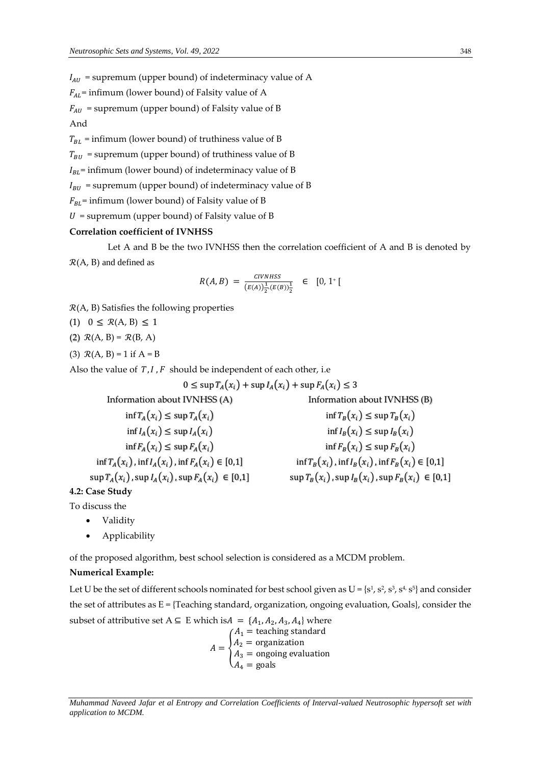$I_{AU}$  = supremum (upper bound) of indeterminacy value of A

 $F_{AL}$ = infimum (lower bound) of Falsity value of A

 $F_{AU}$  = supremum (upper bound) of Falsity value of B

And

 $T_{BL}$  = infimum (lower bound) of truthiness value of B

 $T_{BUI}$  = supremum (upper bound) of truthiness value of B

 $I_{BL}$ = infimum (lower bound) of indeterminacy value of B

 $I<sub>RI</sub>$  = supremum (upper bound) of indeterminacy value of B

 $F_{BL}$ = infimum (lower bound) of Falsity value of B

 $U =$  supremum (upper bound) of Falsity value of B

#### **Correlation coefficient of IVNHSS**

Let A and B be the two IVNHSS then the correlation coefficient of A and B is denoted by

 $R(A, B)$  and defined as

$$
R(A, B) = \frac{CIVNHSS}{(E(A))\frac{1}{2}(E(B))\frac{1}{2}} \in [0, 1^+]
$$

- $R(A, B)$  Satisfies the following properties
- (1)  $0 \leq R(A, B) \leq 1$
- (2)  $\mathcal{R}(A, B) = \mathcal{R}(B, A)$
- (3)  $R(A, B) = 1$  if  $A = B$

Also the value of  $T, I, F$  should be independent of each other, i.e

 $0 \leq$  sup  $T_A(x_i)$  + sup  $I_A(x_i)$  + sup  $F_A(x_i) \leq 3$ 

Information about IVNHSS (A) Information about IVNHSS (B)  $\inf T_A(x_i) \leq \sup T_A(x_i)$  inf  $T_B(x_i) \leq \sup T_B(x_i)$  $\inf I_{\alpha}(x_i) \leq \sup I_{\alpha}(x_i)$  inf $I_{\alpha}(x_i) \leq \sup I_{\alpha}(x_i)$  $\inf F_A(x_i) \leq \sup F_A(x_i)$  inf  $F_B(x_i) \leq \sup F_B(x_i)$  $\inf T_A(x_i)$ ,  $\inf I_A(x_i)$ ,  $\inf F_A(x_i) \in [0,1]$   $\qquad \qquad \inf T_B(x_i)$ ,  $\inf I_B(x_i)$ ,  $\inf F_B(x_i) \in [0,1]$  $\sup T_A(x_i)$ ,  $\sup I_A(x_i)$ ,  $\sup F_A(x_i) \in [0,1]$   $\sup T_B(x_i)$ ,  $\sup I_B(x_i)$ ,  $\sup F_B(x_i) \in [0,1]$ **4.2: Case Study**

To discuss the

- Validity
- Applicability

of the proposed algorithm, best school selection is considered as a MCDM problem.

# **Numerical Example:**

Let U be the set of different schools nominated for best school given as U = {s<sup>1</sup>, s<sup>2</sup>, s<sup>3</sup>, s<sup>4,</sup> s<sup>5</sup>} and consider the set of attributes as  $E = \{Teaching standard, organization, ongoing evaluation, Goals\}$ , consider the subset of attributive set  $A \subseteq E$  which is $A = \{A_1, A_2, A_3, A_4\}$  where  $(A_1 = \text{teaching standard})$ 

$$
A = \begin{cases} A_2 = \text{organization} \\ A_3 = \text{ongoing evaluation} \\ A_4 = \text{goals} \end{cases}
$$

*Muhammad Naveed Jafar et al Entropy and Correlation Coefficients of Interval-valued Neutrosophic hypersoft set with application to MCDM.*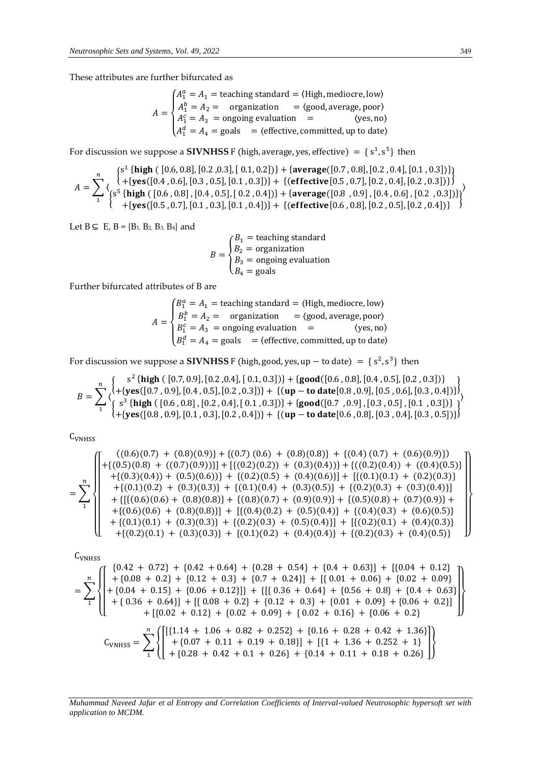These attributes are further bifurcated as

$$
A = \begin{cases} A_1^a = A_1 = \text{teaching standard} = \langle \text{High, medicine, low} \rangle \\ A_1^b = A_2 = \text{organization} = \langle \text{good, average, poor} \rangle \\ A_1^c = A_3 = \text{ongoing evaluation} = \langle \text{yes, no} \rangle \\ A_1^d = A_4 = \text{goals} = \langle \text{effective, committed, up to date} \rangle \end{cases}
$$

For discussion we suppose a **SIVNHSS** F (high, average, yes, effective) =  $\{s^1, s^5\}$  then

$$
A = \sum_{1}^{n} \left\{ \begin{array}{l} \{ \text{high } (\ [0.6, 0.8], [0.2, 0.3], [0.1, 0.2]) \} + \{ \text{average}([0.7, 0.8], [0.2, 0.4], [0.1, 0.3]) \} \\ \{ \{ \text{steps}([0.4, 0.6], [0.3, 0.5], [0.1, 0.3]) \} + \{ \text{{effective}([0.5, 0.7], [0.2, 0.4], [0.2, 0.3]) \} \\ \{ \text{steps}([0.6, 0.8], [0.4, 0.5], [0.2, 0.4]) \} + \{ \text{average}([0.8, 0.9], [0.4, 0.6], [0.2, 0.3]) \} \} \\ \{ \text{erges}([0.5, 0.7], [0.1, 0.3], [0.1, 0.4]) \} + \{ \text{{effective}([0.6, 0.8], [0.2, 0.5], [0.2, 0.4]) \} \} \end{array} \right\}
$$

Let B ⊆ E, B = {B<sub>1</sub>, B<sub>2</sub>, B<sub>3</sub>, B<sub>4</sub>} and

$$
B = \begin{cases} B_1 = \text{teaching standard} \\ B_2 = \text{organization} \\ B_3 = \text{ongoing evaluation} \\ B_4 = \text{goals} \end{cases}
$$

Further bifurcated attributes of B are

 $A=$  $\sqrt{\frac{1}{2}}$  $\begin{cases} B_1^a = A_1 = \text{teaching standard} = \langle \text{High, medicine, low} \rangle \\ B_2^b = A_2 = \text{organization} = \langle \text{good, average, poor} \rangle \end{cases}$  $B_1^b = A_2 = \text{organization} = \langle \text{good}, \text{average}, \text{poor} \rangle$  $B_1^c = A_3$  = ongoing evaluation =  $\langle yes, no \rangle$  $B_1^d = A_4 = \text{goals}$  = (effective, committed, up to date)

For discussion we suppose a **SIVNHSS** F (high, good, yes, up – to date) =  $\{s^2, s^3\}$  then

$$
B = \sum_{1}^{n} \left\{ \begin{array}{l} s^{2} \{\text{high }([0.7, 0.9], [0.2, 0.4], [0.1, 0.3])\} + \{\text{good}([0.6, 0.8], [0.4, 0.5], [0.2, 0.3])\} \\ \begin{array}{l} \left\{ s^{3} \{\text{high }([0.7, 0.9], [0.4, 0.5], [0.2, 0.3])\} + \{(\text{up} - \text{to date}[0.8, 0.9], [0.5, 0.6], [0.3, 0.4])\} \right\} \\ \begin{array}{l} \left\{ s^{3} \{\text{high }([0.6, 0.8], [0.2, 0.4], [0.1, 0.3])\} + \{\text{good}([0.7, 0.9], [0.3, 0.5], [0.1, 0.3])\} \right\} \\ \left\{ + \{\text{yes}([0.8, 0.9], [0.1, 0.3], [0.2, 0.4])\} + \{(\text{up} - \text{to date}[0.6, 0.8], [0.3, 0.4], [0.3, 0.5])\} \right\} \end{array} \right\}
$$

C<sub>VNHSS</sub>

$$
=\sum_{1}^{n}\left\{\n\begin{pmatrix}\n((0.6)(0.7) + (0.8)(0.9)) + \{(0.7)(0.6) + (0.8)(0.8)) + \{(0.4)(0.7) + (0.6)(0.9)\} \\
+(\{(0.5)(0.8) + ((0.7)(0.9)))}] + \left[\{(0.2)(0.2)) + (0.3)(0.4)\right)\} + \left\{((0.2)(0.4)) + ((0.4)(0.5)\right\} \\
+(\{(0.3)(0.4)) + (0.5)(0.6))\} + \{(0.2)(0.5) + (0.4)(0.6)\} + \left\{((0.1)(0.1) + (0.2)(0.3)\} + \{(0.1)(0.2) + (0.3)(0.8)\} + \{(0.1)(0.4) + (0.3)(0.5)\} + \{(0.2)(0.3) + (0.3)(0.4)\}\}\n\end{pmatrix}\n+\left\{\n\begin{pmatrix}\n((0.6)(0.6) + (0.8)(0.8)) + \{(0.1)(0.4) + (0.3)(0.5)\} + \{(0.2)(0.3) + (0.5)(0.9)\} + \{(0.5)(0.8) + (0.7)(0.9)\} + \{(0.6)(0.6) + (0.8)(0.8)\}\} + \{(0.4)(0.2) + (0.5)(0.4)\} + \{(0.4)(0.3) + (0.4)(0.3)\} + \{(0.2)(0.1) + (0.3)(0.3)\} + \{(0.1)(0.2) + (0.4)(0.4)\} + \{(0.2)(0.3) + (0.4)(0.5)\}\n\end{pmatrix}\n\right\}
$$

C<sub>VNHSS</sub>

$$
= \sum_{1}^{n} \left\{ \begin{bmatrix} 0.42 + 0.72 \} + \{0.42 + 0.64 \} + \{0.28 + 0.54 \} + \{0.4 + 0.63 \} \end{bmatrix} + \begin{bmatrix} 0.04 + 0.12 \} + \{0.08 + 0.2 \} + \{0.12 + 0.3 \} + \{0.7 + 0.24 \} \end{bmatrix} + \begin{bmatrix} 0.01 + 0.06 \} + \{0.02 + 0.09 \} \\ + \{0.04 + 0.15 \} + \{0.06 + 0.12 \} \} + \left\{ \left[ \begin{bmatrix} 0.36 + 0.64 \} + \{0.56 + 0.8 \} + \{0.4 + 0.63 \} \end{bmatrix} + \{0.36 + 0.64 \} \right] + \left\{ 0.08 + 0.2 \} + \{0.12 + 0.3 \} + \{0.01 + 0.09 \} + \{0.06 + 0.2 \} \end{bmatrix} \right\}
$$
  
+ 
$$
\left\{ \begin{bmatrix} 0.02 + 0.12 \} + \{0.02 + 0.09 \} + \{0.02 + 0.16 \} + \{0.06 + 0.2 \} \\ + \{0.06 + 0.2 \} + \{0.07 + 0.11 + 0.19 + 0.18 \} \end{bmatrix} + \left\{ \begin{bmatrix} 1 + 1.36 + 0.252 + 1 \} \\ + \{0.28 + 0.42 + 0.1 + 0.26 \} + \{0.14 + 0.11 + 0.18 + 0.26 \} \end{bmatrix} \right\}
$$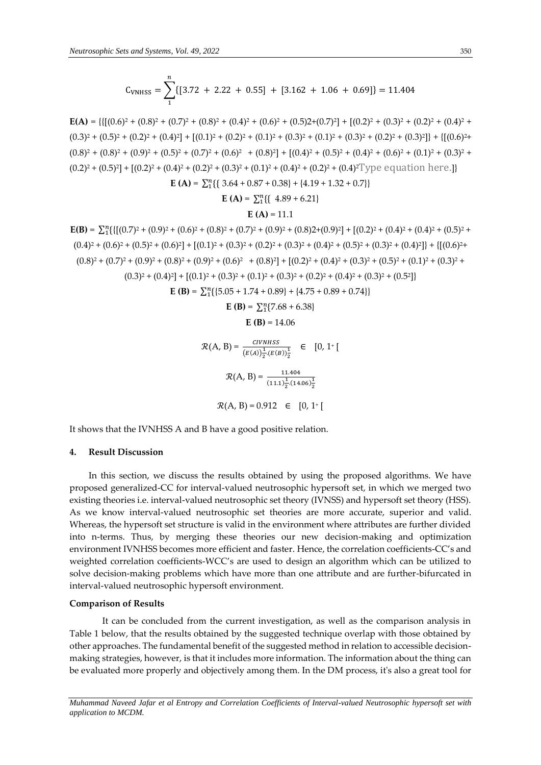$$
C_{\text{VMHSS}} = \sum_{1}^{n} \{ [3.72 + 2.22 + 0.55] + [3.162 + 1.06 + 0.69] \} = 11.404
$$

 $E(A) = \{ \{ [(0.6)^2 + (0.8)^2 + (0.7)^2 + (0.8)^2 + (0.4)^2 + (0.6)^2 + (0.5)^2 + (0.7)^2 \} + [(0.2)^2 + (0.3)^2 + (0.2)^2 + (0.4)^2 + (0.6)^2 \}$  $(0.3)^2 + (0.5)^2 + (0.2)^2 + (0.4)^2 + (0.1)^2 + (0.2)^2 + (0.1)^2 + (0.3)^2 + (0.1)^2 + (0.3)^2 + (0.2)^2 + (0.3)^2 + \{[(0.6)^2 + (0.4)^2 + (0.4)^2 + (0.4)^2 + (0.4)^2 + (0.4)^2 + (0.4)^2 + (0.5)^2 + (0.6)^2 + (0.6)^2 + (0.6)^2 + (0.6)^2 + (0.6)^2 + (0.6)^2 + (0.6)^2 + (0.6)^2 + (0.6)^2 + (0.6)^2 + (0.6)^2 + ($  $(0.8)^2 + (0.8)^2 + (0.9)^2 + (0.5)^2 + (0.7)^2 + (0.6)^2 + (0.8)^2 + (0.4)^2 + (0.5)^2 + (0.4)^2 + (0.6)^2 + (0.1)^2 + (0.3)^2 +$  $(0.2)^{2} + (0.5)^{2} + [(0.2)^{2} + (0.4)^{2} + (0.2)^{2} + (0.3)^{2} + (0.1)^{2} + (0.4)^{2} + (0.2)^{2} + (0.4)^{2}$  Type equation here.]

$$
\mathbf{E(A)} = \sum_{1}^{n} \{ \{ 3.64 + 0.87 + 0.38 \} + \{ 4.19 + 1.32 + 0.7 \} \}
$$

$$
\mathbf{E(A)} = \sum_{1}^{n} \{ \{ 4.89 + 6.21 \}
$$

$$
\mathbf{E(A)} = 11.1
$$

$$
\mathbf{E(B)} = \sum_{1}^{n} \{ \{ [(0.7)^{2} + (0.9)^{2} + (0.6)^{2} + (0.8)^{2} + (0.7)^{2} + (0.9)^{2} + (0.8)^{2} + (0.9)^{2}] \} + \{ [(0.2)^{2} + (0.4)^{2} + (0.4)^{2} + (0.5)^{2} + (0.6)^{2}] \} + \{ [(0.6)^{2} + (0.8)^{2} + (0.9)^{2} + (0.9)^{2}] \} + \{ [(0.6)^{2} + (0.8)^{2} + (0.9)^{2} + (0.9)^{2} + (0.9)^{2} + (0.9)^{2} + (0.9)^{2} + (0.9)^{2} + (0.9)^{2} + (0.9)^{2} + (0.9)^{2} + (0.9)^{2} + (0.9)^{2} + (0.9)^{2} + (0.9)^{2} + (0.9)^{2} + (0.9)^{2} + (0.9)^{2} + (0.9)^{2} + (0.9)^{2} + (0.9)^{2} + (0.9)^{2} + (0.9)^{2} + (0.9)^{2} + (0.9)^{2} + (0.9)^{2} + (0.9)^{2} + (0.9)^{2} + (0.9)^{2} + (0.9)^{2} + (0.9)^{2} + (0.9)^{2} + (0.9)^{2} + (0.9)^{2} + (0.9)^{2} + (0.9)^{2} + (0.9)^{2} + (0.9)^{2} + (0.9)^{2} + (0.9)^{2} + (0.9)^{2} + (0.9)^{2} + (0.9)^{2} + (0.9)^{2} + (0.9)^{2} + (0.9)^{2} + (0.9)^{2} + (0.9)^{2} + (0.9)^{2} + (0.9)^{2} + (0.9)^{2} + (0.9)^{2} + (0.9)^{2} + (0.9)^{2} + (0.9)^{2} + (0.9)^{2} + (0.9)^{2} + (0.9)^{2} + (0.9)^{2} + (0.9)^{2} + (0.9)^{2} + (0.9)^{2} + (0.9)^{2} + (0.9)^{2}
$$

It shows that the IVNHSS A and B have a good positive relation.

# **4. Result Discussion**

In this section, we discuss the results obtained by using the proposed algorithms. We have proposed generalized-CC for interval-valued neutrosophic hypersoft set, in which we merged two existing theories i.e. interval-valued neutrosophic set theory (IVNSS) and hypersoft set theory (HSS). As we know interval-valued neutrosophic set theories are more accurate, superior and valid. Whereas, the hypersoft set structure is valid in the environment where attributes are further divided into n-terms. Thus, by merging these theories our new decision-making and optimization environment IVNHSS becomes more efficient and faster. Hence, the correlation coefficients-CC's and weighted correlation coefficients-WCC's are used to design an algorithm which can be utilized to solve decision-making problems which have more than one attribute and are further-bifurcated in interval-valued neutrosophic hypersoft environment.

## **Comparison of Results**

It can be concluded from the current investigation, as well as the comparison analysis in Table 1 below, that the results obtained by the suggested technique overlap with those obtained by other approaches. The fundamental benefit of the suggested method in relation to accessible decisionmaking strategies, however, is that it includes more information. The information about the thing can be evaluated more properly and objectively among them. In the DM process, it's also a great tool for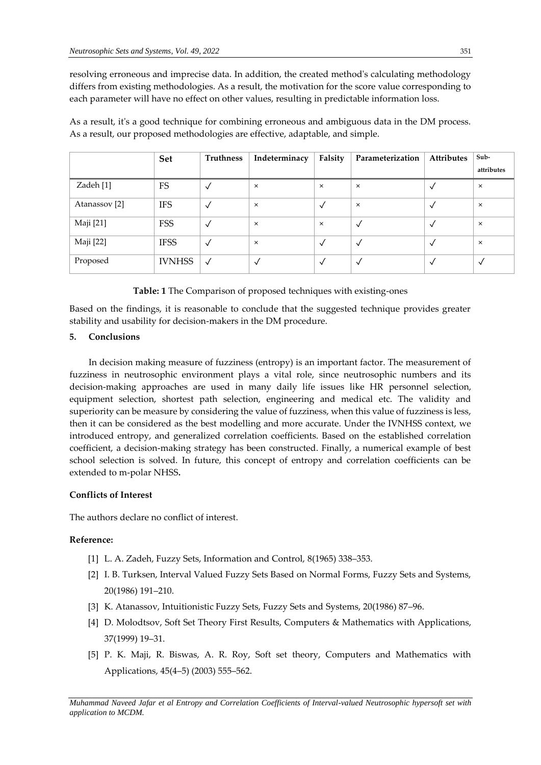resolving erroneous and imprecise data. In addition, the created method's calculating methodology differs from existing methodologies. As a result, the motivation for the score value corresponding to each parameter will have no effect on other values, resulting in predictable information loss.

As a result, it's a good technique for combining erroneous and ambiguous data in the DM process. As a result, our proposed methodologies are effective, adaptable, and simple.

|                          | Set           | Truthness    | Indeterminacy | Falsity      | Parameterization | <b>Attributes</b> | Sub-         |
|--------------------------|---------------|--------------|---------------|--------------|------------------|-------------------|--------------|
|                          |               |              |               |              |                  |                   | attributes   |
| Zadeh [1]                | <b>FS</b>     | $\checkmark$ | $\times$      | $\times$     | $\times$         |                   | $\times$     |
| Atanassov <sup>[2]</sup> | <b>IFS</b>    | $\checkmark$ | $\times$      | $\checkmark$ | $\times$         |                   | $\times$     |
| Maji [21]                | <b>FSS</b>    | $\checkmark$ | $\times$      | $\times$     | $\checkmark$     |                   | $\times$     |
| Maji [22]                | <b>IFSS</b>   | $\checkmark$ | $\times$      | $\checkmark$ | $\checkmark$     |                   | $\times$     |
| Proposed                 | <b>IVNHSS</b> | $\sqrt{ }$   |               | $\checkmark$ | √                |                   | $\checkmark$ |

**Table: 1** The Comparison of proposed techniques with existing-ones

Based on the findings, it is reasonable to conclude that the suggested technique provides greater stability and usability for decision-makers in the DM procedure.

## **5. Conclusions**

In decision making measure of fuzziness (entropy) is an important factor. The measurement of fuzziness in neutrosophic environment plays a vital role, since neutrosophic numbers and its decision-making approaches are used in many daily life issues like HR personnel selection, equipment selection, shortest path selection, engineering and medical etc. The validity and superiority can be measure by considering the value of fuzziness, when this value of fuzziness is less, then it can be considered as the best modelling and more accurate. Under the IVNHSS context, we introduced entropy, and generalized correlation coefficients. Based on the established correlation coefficient, a decision-making strategy has been constructed. Finally, a numerical example of best school selection is solved. In future, this concept of entropy and correlation coefficients can be extended to m-polar NHSS**.**

# **Conflicts of Interest**

The authors declare no conflict of interest.

## **Reference:**

- [1] L. A. Zadeh, Fuzzy Sets, Information and Control, 8(1965) 338–353.
- [2] I. B. Turksen, Interval Valued Fuzzy Sets Based on Normal Forms, Fuzzy Sets and Systems, 20(1986) 191–210.
- [3] K. Atanassov, Intuitionistic Fuzzy Sets, Fuzzy Sets and Systems, 20(1986) 87–96.
- [4] D. Molodtsov, Soft Set Theory First Results, Computers & Mathematics with Applications, 37(1999) 19–31.
- [5] P. K. Maji, R. Biswas, A. R. Roy, Soft set theory, Computers and Mathematics with Applications, 45(4–5) (2003) 555–562.

*Muhammad Naveed Jafar et al Entropy and Correlation Coefficients of Interval-valued Neutrosophic hypersoft set with application to MCDM.*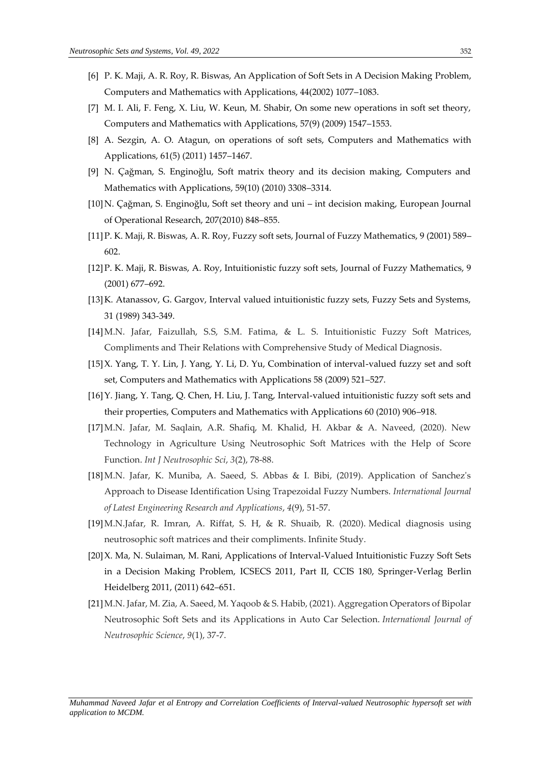- [6] P. K. Maji, A. R. Roy, R. Biswas, An Application of Soft Sets in A Decision Making Problem, Computers and Mathematics with Applications, 44(2002) 1077–1083.
- [7] M. I. Ali, F. Feng, X. Liu, W. Keun, M. Shabir, On some new operations in soft set theory, Computers and Mathematics with Applications, 57(9) (2009) 1547–1553.
- [8] A. Sezgin, A. O. Atagun, on operations of soft sets, Computers and Mathematics with Applications, 61(5) (2011) 1457–1467.
- [9] N. Çağman, S. Enginoğlu, Soft matrix theory and its decision making, Computers and Mathematics with Applications, 59(10) (2010) 3308–3314.
- [10]N. Çağman, S. Enginoğlu, Soft set theory and uni int decision making, European Journal of Operational Research, 207(2010) 848–855.
- [11]P. K. Maji, R. Biswas, A. R. Roy, Fuzzy soft sets, Journal of Fuzzy Mathematics, 9 (2001) 589– 602.
- [12]P. K. Maji, R. Biswas, A. Roy, Intuitionistic fuzzy soft sets, Journal of Fuzzy Mathematics, 9 (2001) 677–692.
- [13]K. Atanassov, G. Gargov, Interval valued intuitionistic fuzzy sets, Fuzzy Sets and Systems, 31 (1989) 343-349.
- [14]M.N. Jafar, Faizullah, S.S, S.M. Fatima, & L. S. Intuitionistic Fuzzy Soft Matrices, Compliments and Their Relations with Comprehensive Study of Medical Diagnosis.
- [15]X. Yang, T. Y. Lin, J. Yang, Y. Li, D. Yu, Combination of interval-valued fuzzy set and soft set, Computers and Mathematics with Applications 58 (2009) 521–527.
- [16]Y. Jiang, Y. Tang, Q. Chen, H. Liu, J. Tang, Interval-valued intuitionistic fuzzy soft sets and their properties, Computers and Mathematics with Applications 60 (2010) 906–918.
- [17]M.N. Jafar, M. Saqlain, A.R. Shafiq, M. Khalid, H. Akbar & A. Naveed, (2020). New Technology in Agriculture Using Neutrosophic Soft Matrices with the Help of Score Function. *Int J Neutrosophic Sci*, *3*(2), 78-88.
- [18]M.N. Jafar, K. Muniba, A. Saeed, S. Abbas & I. Bibi, (2019). Application of Sanchez's Approach to Disease Identification Using Trapezoidal Fuzzy Numbers. *International Journal of Latest Engineering Research and Applications*, *4*(9), 51-57.
- [19]M.N.Jafar, R. Imran, A. Riffat, S. H, & R. Shuaib, R. (2020). Medical diagnosis using neutrosophic soft matrices and their compliments. Infinite Study.
- [20]X. Ma, N. Sulaiman, M. Rani, Applications of Interval-Valued Intuitionistic Fuzzy Soft Sets in a Decision Making Problem, ICSECS 2011, Part II, CCIS 180, Springer-Verlag Berlin Heidelberg 2011, (2011) 642–651.
- [21]M.N. Jafar, M. Zia, A. Saeed, M. Yaqoob & S. Habib, (2021). Aggregation Operators of Bipolar Neutrosophic Soft Sets and its Applications in Auto Car Selection. *International Journal of Neutrosophic Science*, *9*(1), 37-7.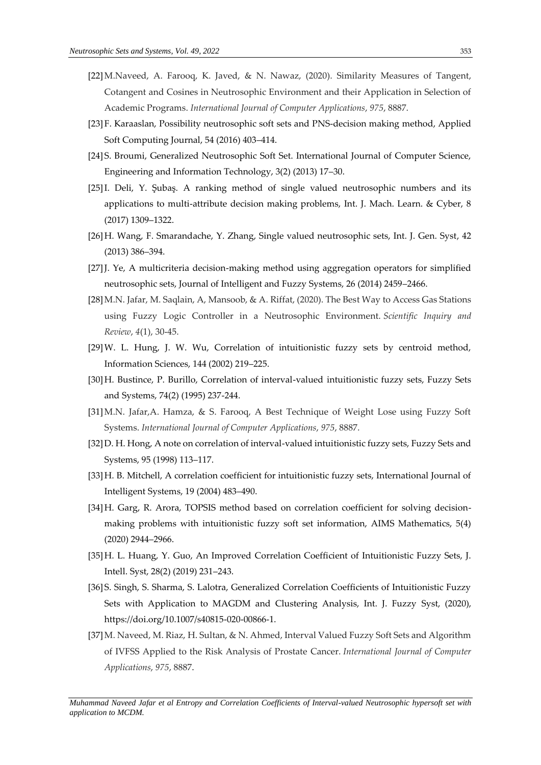- [22]M.Naveed, A. Farooq, K. Javed, & N. Nawaz, (2020). Similarity Measures of Tangent, Cotangent and Cosines in Neutrosophic Environment and their Application in Selection of Academic Programs. *International Journal of Computer Applications*, *975*, 8887.
- [23]F. Karaaslan, Possibility neutrosophic soft sets and PNS-decision making method, Applied Soft Computing Journal, 54 (2016) 403–414.
- [24]S. Broumi, Generalized Neutrosophic Soft Set. International Journal of Computer Science, Engineering and Information Technology, 3(2) (2013) 17–30.
- [25]I. Deli, Y. Şubaş. A ranking method of single valued neutrosophic numbers and its applications to multi-attribute decision making problems, Int. J. Mach. Learn. & Cyber, 8 (2017) 1309–1322.
- [26]H. Wang, F. Smarandache, Y. Zhang, Single valued neutrosophic sets, Int. J. Gen. Syst, 42 (2013) 386–394.
- [27]J. Ye, A multicriteria decision-making method using aggregation operators for simplified neutrosophic sets, Journal of Intelligent and Fuzzy Systems, 26 (2014) 2459–2466.
- [28]M.N. Jafar, M. Saqlain, A, Mansoob, & A. Riffat, (2020). The Best Way to Access Gas Stations using Fuzzy Logic Controller in a Neutrosophic Environment. *Scientific Inquiry and Review*, *4*(1), 30-45.
- [29]W. L. Hung, J. W. Wu, Correlation of intuitionistic fuzzy sets by centroid method, Information Sciences, 144 (2002) 219–225.
- [30]H. Bustince, P. Burillo, Correlation of interval-valued intuitionistic fuzzy sets, Fuzzy Sets and Systems, 74(2) (1995) 237-244.
- [31]M.N. Jafar,A. Hamza, & S. Farooq, A Best Technique of Weight Lose using Fuzzy Soft Systems. *International Journal of Computer Applications*, *975*, 8887.
- [32]D. H. Hong, A note on correlation of interval-valued intuitionistic fuzzy sets, Fuzzy Sets and Systems, 95 (1998) 113–117.
- [33]H. B. Mitchell, A correlation coefficient for intuitionistic fuzzy sets, International Journal of Intelligent Systems, 19 (2004) 483–490.
- [34]H. Garg, R. Arora, TOPSIS method based on correlation coefficient for solving decisionmaking problems with intuitionistic fuzzy soft set information, AIMS Mathematics, 5(4) (2020) 2944–2966.
- [35]H. L. Huang, Y. Guo, An Improved Correlation Coefficient of Intuitionistic Fuzzy Sets, J. Intell. Syst, 28(2) (2019) 231–243.
- [36]S. Singh, S. Sharma, S. Lalotra, Generalized Correlation Coefficients of Intuitionistic Fuzzy Sets with Application to MAGDM and Clustering Analysis, Int. J. Fuzzy Syst, (2020), [https://doi.org/10.1007/s40815-020-00866-1.](https://doi.org/10.1007/s40815-020-00866-1)
- [37]M. Naveed, M. Riaz, H. Sultan, & N. Ahmed, Interval Valued Fuzzy Soft Sets and Algorithm of IVFSS Applied to the Risk Analysis of Prostate Cancer. *International Journal of Computer Applications*, *975*, 8887.

*Muhammad Naveed Jafar et al Entropy and Correlation Coefficients of Interval-valued Neutrosophic hypersoft set with application to MCDM.*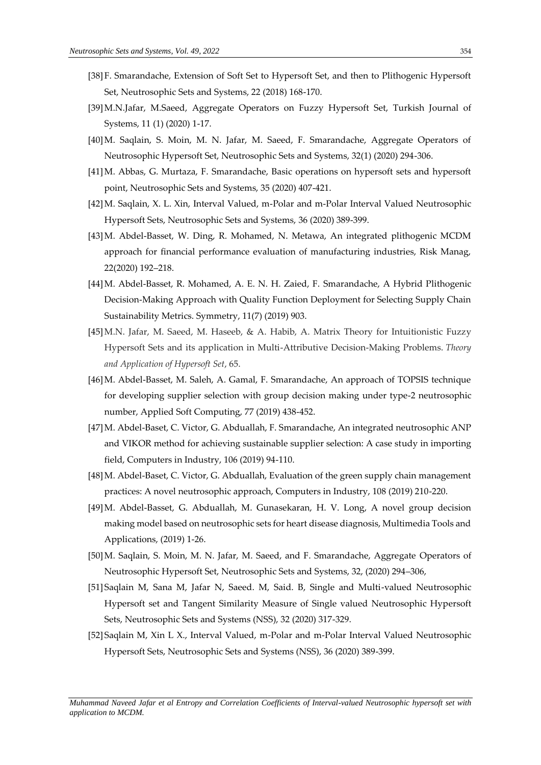- [38]F. Smarandache, Extension of Soft Set to Hypersoft Set, and then to Plithogenic Hypersoft Set, Neutrosophic Sets and Systems, 22 (2018) 168-170.
- [39]M.N.Jafar, M.Saeed, Aggregate Operators on Fuzzy Hypersoft Set, Turkish Journal of Systems, 11 (1) (2020) 1-17.
- [40]M. Saqlain, S. Moin, M. N. Jafar, M. Saeed, F. Smarandache, Aggregate Operators of Neutrosophic Hypersoft Set, Neutrosophic Sets and Systems, 32(1) (2020) 294-306.
- [41]M. Abbas, G. Murtaza, F. Smarandache, Basic operations on hypersoft sets and hypersoft point, Neutrosophic Sets and Systems, 35 (2020) 407-421.
- [42]M. Saqlain, X. L. Xin, Interval Valued, m-Polar and m-Polar Interval Valued Neutrosophic Hypersoft Sets, Neutrosophic Sets and Systems, 36 (2020) 389-399.
- [43]M. Abdel-Basset, W. Ding, R. Mohamed, N. Metawa, An integrated plithogenic MCDM approach for financial performance evaluation of manufacturing industries, Risk Manag, 22(2020) 192–218.
- [44]M. Abdel-Basset, R. Mohamed, A. E. N. H. Zaied, F. Smarandache, A Hybrid Plithogenic Decision-Making Approach with Quality Function Deployment for Selecting Supply Chain Sustainability Metrics. Symmetry, 11(7) (2019) 903.
- [45]M.N. Jafar, M. Saeed, M. Haseeb, & A. Habib, A. Matrix Theory for Intuitionistic Fuzzy Hypersoft Sets and its application in Multi-Attributive Decision-Making Problems. *Theory and Application of Hypersoft Set*, 65.
- [46]M. Abdel-Basset, M. Saleh, A. Gamal, F. Smarandache, An approach of TOPSIS technique for developing supplier selection with group decision making under type-2 neutrosophic number, Applied Soft Computing, 77 (2019) 438-452.
- [47]M. Abdel-Baset, C. Victor, G. Abduallah, F. Smarandache, An integrated neutrosophic ANP and VIKOR method for achieving sustainable supplier selection: A case study in importing field, Computers in Industry, 106 (2019) 94-110.
- [48]M. Abdel-Baset, C. Victor, G. Abduallah, Evaluation of the green supply chain management practices: A novel neutrosophic approach, Computers in Industry, 108 (2019) 210-220.
- [49]M. Abdel-Basset, G. Abduallah, M. Gunasekaran, H. V. Long, A novel group decision making model based on neutrosophic sets for heart disease diagnosis, Multimedia Tools and Applications, (2019) 1-26.
- [50]M. Saqlain, S. Moin, M. N. Jafar, M. Saeed, and F. Smarandache, Aggregate Operators of Neutrosophic Hypersoft Set, Neutrosophic Sets and Systems, 32, (2020) 294–306,
- [51]Saqlain M, Sana M, Jafar N, Saeed. M, Said. B, Single and Multi-valued Neutrosophic Hypersoft set and Tangent Similarity Measure of Single valued Neutrosophic Hypersoft Sets, Neutrosophic Sets and Systems (NSS), 32 (2020) 317-329.
- [52]Saqlain M, Xin L X., Interval Valued, m-Polar and m-Polar Interval Valued Neutrosophic Hypersoft Sets, Neutrosophic Sets and Systems (NSS), 36 (2020) 389-399.

*Muhammad Naveed Jafar et al Entropy and Correlation Coefficients of Interval-valued Neutrosophic hypersoft set with application to MCDM.*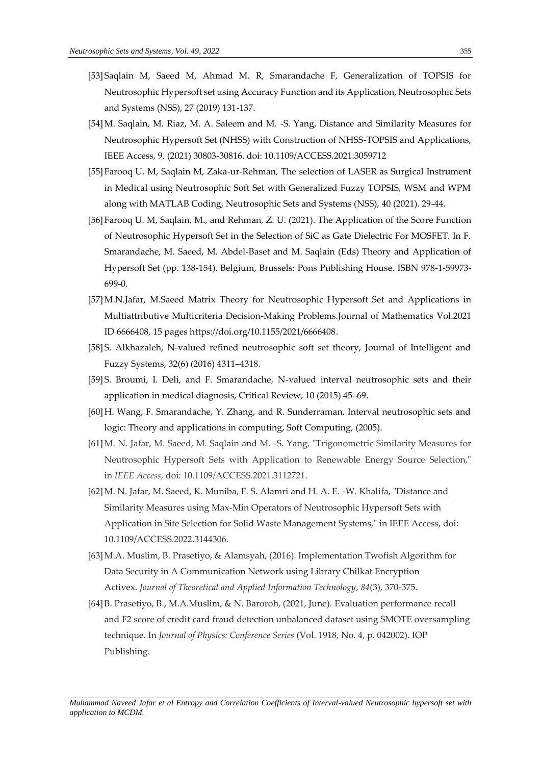- [53]Saqlain M, Saeed M, Ahmad M. R, Smarandache F, Generalization of TOPSIS for Neutrosophic Hypersoft set using Accuracy Function and its Application, Neutrosophic Sets and Systems (NSS), 27 (2019) 131-137.
- [54]M. Saqlain, M. Riaz, M. A. Saleem and M. -S. Yang, Distance and Similarity Measures for Neutrosophic Hypersoft Set (NHSS) with Construction of NHSS-TOPSIS and Applications, IEEE Access, 9, (2021) 30803-30816. doi: 10.1109/ACCESS.2021.3059712
- [55]Farooq U. M, Saqlain M, Zaka-ur-Rehman, The selection of LASER as Surgical Instrument in Medical using Neutrosophic Soft Set with Generalized Fuzzy TOPSIS, WSM and WPM along with MATLAB Coding, Neutrosophic Sets and Systems (NSS), 40 (2021). 29-44.
- [56]Farooq U. M, Saqlain, M., and Rehman, Z. U. (2021). The Application of the Score Function of Neutrosophic Hypersoft Set in the Selection of SiC as Gate Dielectric For MOSFET. In F. Smarandache, M. Saeed, M. Abdel-Baset and M. Saqlain (Eds) Theory and Application of Hypersoft Set (pp. 138-154). Belgium, Brussels: Pons Publishing House. ISBN 978-1-59973- 699-0.
- [57]M.N.Jafar, M.Saeed Matrix Theory for Neutrosophic Hypersoft Set and Applications in Multiattributive Multicriteria Decision-Making Problems.Journal of Mathematics Vol.2021 ID 6666408, 15 pages https://doi.org/10.1155/2021/6666408.
- [58]S. Alkhazaleh, N-valued refined neutrosophic soft set theory, Journal of Intelligent and Fuzzy Systems, 32(6) (2016) 4311–4318.
- [59]S. Broumi, I. Deli, and F. Smarandache, N-valued interval neutrosophic sets and their application in medical diagnosis, Critical Review, 10 (2015) 45–69.
- [60]H. Wang, F. Smarandache, Y. Zhang, and R. Sunderraman, Interval neutrosophic sets and logic: Theory and applications in computing, Soft Computing, (2005).
- [61]M. N. Jafar, M. Saeed, M. Saqlain and M. -S. Yang, "Trigonometric Similarity Measures for Neutrosophic Hypersoft Sets with Application to Renewable Energy Source Selection," in *IEEE Access*, doi: 10.1109/ACCESS.2021.3112721.
- [62]M. N. Jafar, M. Saeed, K. Muniba, F. S. Alamri and H. A. E. -W. Khalifa, "Distance and Similarity Measures using Max-Min Operators of Neutrosophic Hypersoft Sets with Application in Site Selection for Solid Waste Management Systems," in IEEE Access, doi: 10.1109/ACCESS.2022.3144306.
- [63]M.A. Muslim, B. Prasetiyo, & Alamsyah, (2016). Implementation Twofish Algorithm for Data Security in A Communication Network using Library Chilkat Encryption Activex. *Journal of Theoretical and Applied Information Technology*, *84*(3), 370-375.
- [64]B. Prasetiyo, B., M.A.Muslim, & N. Baroroh, (2021, June). Evaluation performance recall and F2 score of credit card fraud detection unbalanced dataset using SMOTE oversampling technique. In *Journal of Physics: Conference Series* (Vol. 1918, No. 4, p. 042002). IOP Publishing.